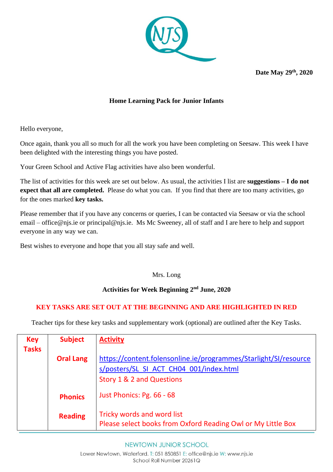

**Date May 29 th, 2020**

## **Home Learning Pack for Junior Infants**

Hello everyone,

Once again, thank you all so much for all the work you have been completing on Seesaw. This week I have been delighted with the interesting things you have posted.

Your Green School and Active Flag activities have also been wonderful.

The list of activities for this week are set out below. As usual, the activities I list are **suggestions – I do not expect that all are completed.** Please do what you can. If you find that there are too many activities, go for the ones marked **key tasks.** 

Please remember that if you have any concerns or queries, I can be contacted via Seesaw or via the school email – [office@njs.ie](mailto:office@njs.ie) or [principal@njs.ie.](mailto:principal@njs.ie) Ms Mc Sweeney, all of staff and I are here to help and support everyone in any way we can.

Best wishes to everyone and hope that you all stay safe and well.

## Mrs. Long

#### **Activities for Week Beginning 2 nd June, 2020**

## **KEY TASKS ARE SET OUT AT THE BEGINNING AND ARE HIGHLIGHTED IN RED**

Teacher tips for these key tasks and supplementary work (optional) are outlined after the Key Tasks.

| <b>Key</b><br><b>Tasks</b> | <b>Subject</b>   | <b>Activity</b>                                                                            |  |
|----------------------------|------------------|--------------------------------------------------------------------------------------------|--|
|                            | <b>Oral Lang</b> | https://content.folensonline.ie/programmes/Starlight/SI/resource                           |  |
|                            |                  | s/posters/SL SI ACT CH04 001/index.html                                                    |  |
|                            |                  | Story 1 & 2 and Questions                                                                  |  |
|                            | <b>Phonics</b>   | Just Phonics: Pg. 66 - 68                                                                  |  |
|                            | <b>Reading</b>   | Tricky words and word list<br>Please select books from Oxford Reading Owl or My Little Box |  |

#### NEWTOWN JUNIOR SCHOOL

Lower Newtown, Waterford. T: 051 850851 E: office@njs.ie W: www.njs.ie School Roll Number 20261Q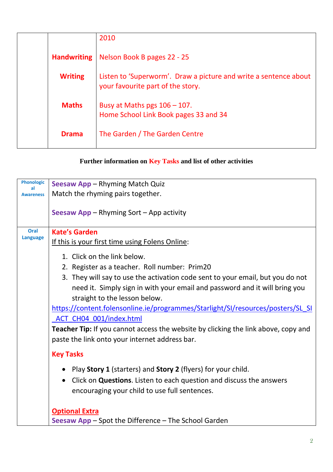|                    | 2010                                                                                                  |
|--------------------|-------------------------------------------------------------------------------------------------------|
| <b>Handwriting</b> | Nelson Book B pages 22 - 25                                                                           |
| <b>Writing</b>     | Listen to 'Superworm'. Draw a picture and write a sentence about<br>your favourite part of the story. |
| <b>Maths</b>       | Busy at Maths pgs $106 - 107$ .<br>Home School Link Book pages 33 and 34                              |
| <b>Drama</b>       | The Garden / The Garden Centre                                                                        |

# **Further information on Key Tasks and list of other activities**

| <b>Phonologic</b><br>al | <b>Seesaw App - Rhyming Match Quiz</b>                                                                                               |  |
|-------------------------|--------------------------------------------------------------------------------------------------------------------------------------|--|
| <b>Awareness</b>        | Match the rhyming pairs together.                                                                                                    |  |
|                         | Seesaw App – Rhyming Sort – App activity                                                                                             |  |
| Oral                    | <b>Kate's Garden</b>                                                                                                                 |  |
| <b>Language</b>         | If this is your first time using Folens Online:                                                                                      |  |
|                         | 1. Click on the link below.                                                                                                          |  |
|                         | 2. Register as a teacher. Roll number: Prim20                                                                                        |  |
|                         | 3. They will say to use the activation code sent to your email, but you do not                                                       |  |
|                         | need it. Simply sign in with your email and password and it will bring you                                                           |  |
|                         | straight to the lesson below.                                                                                                        |  |
|                         | https://content.folensonline.ie/programmes/Starlight/SI/resources/posters/SL SI                                                      |  |
|                         | ACT CH04 001/index.html                                                                                                              |  |
|                         | Teacher Tip: If you cannot access the website by clicking the link above, copy and<br>paste the link onto your internet address bar. |  |
|                         | <b>Key Tasks</b>                                                                                                                     |  |
|                         | Play Story 1 (starters) and Story 2 (flyers) for your child.                                                                         |  |
|                         | Click on <b>Questions</b> . Listen to each question and discuss the answers                                                          |  |
|                         | encouraging your child to use full sentences.                                                                                        |  |
|                         | <b>Optional Extra</b>                                                                                                                |  |
|                         | Seesaw App – Spot the Difference – The School Garden                                                                                 |  |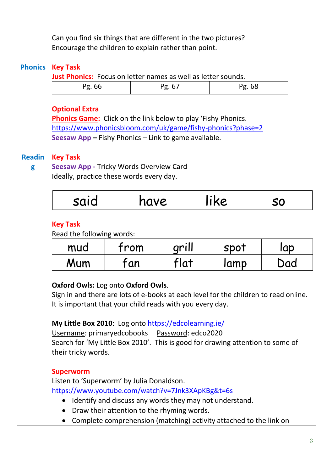|                                              | Can you find six things that are different in the two pictures?<br>Encourage the children to explain rather than point.                                                                                                                                                                                                                                                                                                                                                            |                                                                                                         |        |           |        |  |  |
|----------------------------------------------|------------------------------------------------------------------------------------------------------------------------------------------------------------------------------------------------------------------------------------------------------------------------------------------------------------------------------------------------------------------------------------------------------------------------------------------------------------------------------------|---------------------------------------------------------------------------------------------------------|--------|-----------|--------|--|--|
| <b>Phonics</b>                               | <b>Key Task</b><br><b>Just Phonics:</b> Focus on letter names as well as letter sounds.                                                                                                                                                                                                                                                                                                                                                                                            |                                                                                                         |        |           |        |  |  |
|                                              | Pg. 66                                                                                                                                                                                                                                                                                                                                                                                                                                                                             |                                                                                                         | Pg. 67 |           | Pg. 68 |  |  |
|                                              | <b>Optional Extra</b><br><b>Phonics Game:</b> Click on the link below to play 'Fishy Phonics.<br>https://www.phonicsbloom.com/uk/game/fishy-phonics?phase=2<br>Seesaw App - Fishy Phonics - Link to game available.                                                                                                                                                                                                                                                                |                                                                                                         |        |           |        |  |  |
| <b>Readin</b><br>g                           | <b>Key Task</b><br><b>Seesaw App - Tricky Words Overview Card</b><br>Ideally, practice these words every day.                                                                                                                                                                                                                                                                                                                                                                      |                                                                                                         |        |           |        |  |  |
| like<br>said<br>have                         |                                                                                                                                                                                                                                                                                                                                                                                                                                                                                    |                                                                                                         |        | <b>SO</b> |        |  |  |
| <b>Key Task</b><br>Read the following words: |                                                                                                                                                                                                                                                                                                                                                                                                                                                                                    |                                                                                                         |        |           |        |  |  |
|                                              | mud                                                                                                                                                                                                                                                                                                                                                                                                                                                                                | from                                                                                                    | grill  | spot      | lap    |  |  |
|                                              | Mum                                                                                                                                                                                                                                                                                                                                                                                                                                                                                | fan                                                                                                     | flat   | lamp      | Dad    |  |  |
|                                              | <b>Oxford Owls: Log onto Oxford Owls.</b><br>Sign in and there are lots of e-books at each level for the children to read online.<br>It is important that your child reads with you every day.<br>My Little Box 2010: Log onto https://edcolearning.ie/<br>Username: primaryedcobooks Password: edco2020<br>Search for 'My Little Box 2010'. This is good for drawing attention to some of<br>their tricky words.<br><b>Superworm</b><br>Listen to 'Superworm' by Julia Donaldson. |                                                                                                         |        |           |        |  |  |
|                                              | https://www.youtube.com/watch?v=7Jnk3XApKBg&t=6s                                                                                                                                                                                                                                                                                                                                                                                                                                   |                                                                                                         |        |           |        |  |  |
|                                              | $\bullet$                                                                                                                                                                                                                                                                                                                                                                                                                                                                          | • Identify and discuss any words they may not understand.<br>Draw their attention to the rhyming words. |        |           |        |  |  |
|                                              | Complete comprehension (matching) activity attached to the link on<br>$\bullet$                                                                                                                                                                                                                                                                                                                                                                                                    |                                                                                                         |        |           |        |  |  |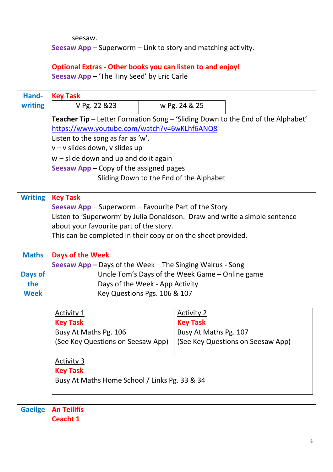|                | seesaw.                                                                         |                                                 |  |  |  |  |
|----------------|---------------------------------------------------------------------------------|-------------------------------------------------|--|--|--|--|
|                | Seesaw $App - Superworm - Link to story and matching activity.$                 |                                                 |  |  |  |  |
|                | <b>Optional Extras - Other books you can listen to and enjoy!</b>               |                                                 |  |  |  |  |
|                | Seesaw App - 'The Tiny Seed' by Eric Carle                                      |                                                 |  |  |  |  |
|                |                                                                                 |                                                 |  |  |  |  |
| Hand-          | <b>Key Task</b>                                                                 |                                                 |  |  |  |  |
| writing        | V Pg. 22 & 23                                                                   | w Pg. 24 & 25                                   |  |  |  |  |
|                | Teacher Tip - Letter Formation Song - 'Sliding Down to the End of the Alphabet' |                                                 |  |  |  |  |
|                | https://www.youtube.com/watch?v=6wKLhf6ANQ8                                     |                                                 |  |  |  |  |
|                | Listen to the song as far as 'w'.                                               |                                                 |  |  |  |  |
|                | v - v slides down, v slides up                                                  |                                                 |  |  |  |  |
|                | $w$ – slide down and up and do it again                                         |                                                 |  |  |  |  |
|                | Seesaw $App - Copy$ of the assigned pages                                       |                                                 |  |  |  |  |
|                | Sliding Down to the End of the Alphabet                                         |                                                 |  |  |  |  |
| <b>Writing</b> | <b>Key Task</b>                                                                 |                                                 |  |  |  |  |
|                | <b>Seesaw App</b> $-$ Superworm $-$ Favourite Part of the Story                 |                                                 |  |  |  |  |
|                | Listen to 'Superworm' by Julia Donaldson. Draw and write a simple sentence      |                                                 |  |  |  |  |
|                | about your favourite part of the story.                                         |                                                 |  |  |  |  |
|                | This can be completed in their copy or on the sheet provided.                   |                                                 |  |  |  |  |
| <b>Maths</b>   | <b>Days of the Week</b>                                                         |                                                 |  |  |  |  |
|                | Seesaw App - Days of the Week - The Singing Walrus - Song                       |                                                 |  |  |  |  |
| Days of        |                                                                                 | Uncle Tom's Days of the Week Game - Online game |  |  |  |  |
| the            | Days of the Week - App Activity                                                 |                                                 |  |  |  |  |
| <b>Week</b>    | Key Questions Pgs. 106 & 107                                                    |                                                 |  |  |  |  |
|                | <b>Activity 1</b>                                                               | <b>Activity 2</b>                               |  |  |  |  |
|                | <b>Key Task</b>                                                                 | <b>Key Task</b>                                 |  |  |  |  |
|                | Busy At Maths Pg. 106                                                           | Busy At Maths Pg. 107                           |  |  |  |  |
|                | (See Key Questions on Seesaw App)                                               | (See Key Questions on Seesaw App)               |  |  |  |  |
|                | <b>Activity 3</b>                                                               |                                                 |  |  |  |  |
|                | <b>Key Task</b>                                                                 |                                                 |  |  |  |  |
|                | Busy At Maths Home School / Links Pg. 33 & 34                                   |                                                 |  |  |  |  |
|                |                                                                                 |                                                 |  |  |  |  |
| <b>Gaeilge</b> | <b>An Teilifís</b>                                                              |                                                 |  |  |  |  |
|                | <b>Ceacht 1</b>                                                                 |                                                 |  |  |  |  |